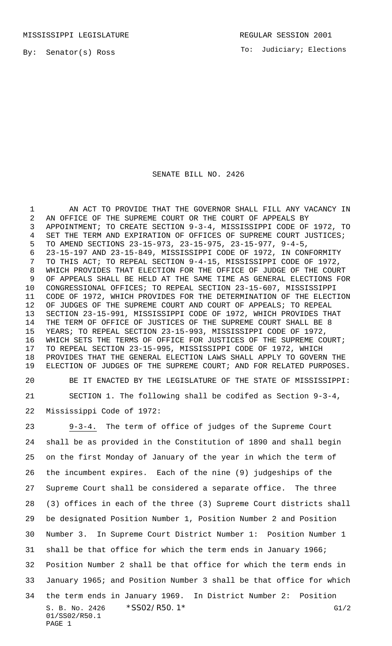## SENATE BILL NO. 2426

1 AN ACT TO PROVIDE THAT THE GOVERNOR SHALL FILL ANY VACANCY IN AN OFFICE OF THE SUPREME COURT OR THE COURT OF APPEALS BY APPOINTMENT; TO CREATE SECTION 9-3-4, MISSISSIPPI CODE OF 1972, TO SET THE TERM AND EXPIRATION OF OFFICES OF SUPREME COURT JUSTICES; TO AMEND SECTIONS 23-15-973, 23-15-975, 23-15-977, 9-4-5, 23-15-197 AND 23-15-849, MISSISSIPPI CODE OF 1972, IN CONFORMITY TO THIS ACT; TO REPEAL SECTION 9-4-15, MISSISSIPPI CODE OF 1972, WHICH PROVIDES THAT ELECTION FOR THE OFFICE OF JUDGE OF THE COURT OF APPEALS SHALL BE HELD AT THE SAME TIME AS GENERAL ELECTIONS FOR CONGRESSIONAL OFFICES; TO REPEAL SECTION 23-15-607, MISSISSIPPI CODE OF 1972, WHICH PROVIDES FOR THE DETERMINATION OF THE ELECTION OF JUDGES OF THE SUPREME COURT AND COURT OF APPEALS; TO REPEAL SECTION 23-15-991, MISSISSIPPI CODE OF 1972, WHICH PROVIDES THAT THE TERM OF OFFICE OF JUSTICES OF THE SUPREME COURT SHALL BE 8 YEARS; TO REPEAL SECTION 23-15-993, MISSISSIPPI CODE OF 1972, WHICH SETS THE TERMS OF OFFICE FOR JUSTICES OF THE SUPREME COURT; TO REPEAL SECTION 23-15-995, MISSISSIPPI CODE OF 1972, WHICH PROVIDES THAT THE GENERAL ELECTION LAWS SHALL APPLY TO GOVERN THE ELECTION OF JUDGES OF THE SUPREME COURT; AND FOR RELATED PURPOSES.

 BE IT ENACTED BY THE LEGISLATURE OF THE STATE OF MISSISSIPPI: SECTION 1. The following shall be codifed as Section 9-3-4, Mississippi Code of 1972:

S. B. No. 2426 \* SS02/R50.1\* G1/2 01/SS02/R50.1 PAGE 1 9-3-4. The term of office of judges of the Supreme Court shall be as provided in the Constitution of 1890 and shall begin on the first Monday of January of the year in which the term of the incumbent expires. Each of the nine (9) judgeships of the Supreme Court shall be considered a separate office. The three (3) offices in each of the three (3) Supreme Court districts shall be designated Position Number 1, Position Number 2 and Position Number 3. In Supreme Court District Number 1: Position Number 1 shall be that office for which the term ends in January 1966; Position Number 2 shall be that office for which the term ends in January 1965; and Position Number 3 shall be that office for which the term ends in January 1969. In District Number 2: Position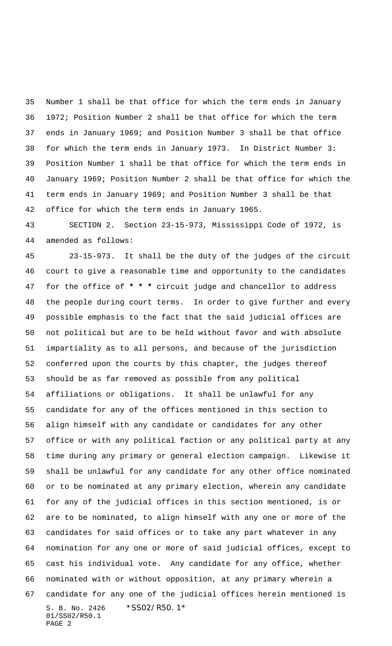Number 1 shall be that office for which the term ends in January 1972; Position Number 2 shall be that office for which the term ends in January 1969; and Position Number 3 shall be that office for which the term ends in January 1973. In District Number 3: Position Number 1 shall be that office for which the term ends in January 1969; Position Number 2 shall be that office for which the term ends in January 1969; and Position Number 3 shall be that office for which the term ends in January 1965.

 SECTION 2. Section 23-15-973, Mississippi Code of 1972, is amended as follows:

S. B. No. 2426 \*SS02/R50.1\* 01/SS02/R50.1 PAGE 2 23-15-973. It shall be the duty of the judges of the circuit court to give a reasonable time and opportunity to the candidates for the office of **\* \* \*** circuit judge and chancellor to address the people during court terms. In order to give further and every possible emphasis to the fact that the said judicial offices are not political but are to be held without favor and with absolute impartiality as to all persons, and because of the jurisdiction conferred upon the courts by this chapter, the judges thereof should be as far removed as possible from any political affiliations or obligations. It shall be unlawful for any candidate for any of the offices mentioned in this section to align himself with any candidate or candidates for any other office or with any political faction or any political party at any time during any primary or general election campaign. Likewise it shall be unlawful for any candidate for any other office nominated or to be nominated at any primary election, wherein any candidate for any of the judicial offices in this section mentioned, is or are to be nominated, to align himself with any one or more of the candidates for said offices or to take any part whatever in any nomination for any one or more of said judicial offices, except to cast his individual vote. Any candidate for any office, whether nominated with or without opposition, at any primary wherein a candidate for any one of the judicial offices herein mentioned is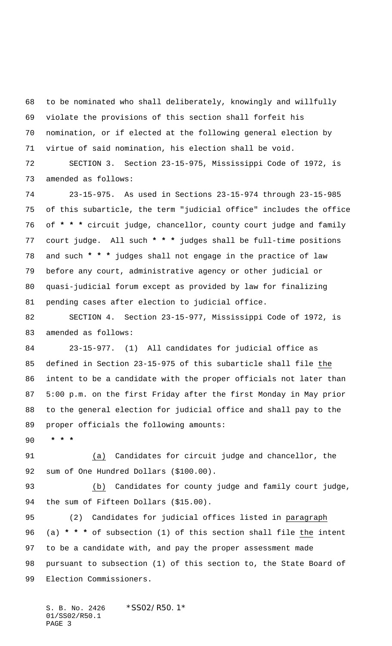to be nominated who shall deliberately, knowingly and willfully violate the provisions of this section shall forfeit his nomination, or if elected at the following general election by virtue of said nomination, his election shall be void.

 SECTION 3. Section 23-15-975, Mississippi Code of 1972, is amended as follows:

 23-15-975. As used in Sections 23-15-974 through 23-15-985 of this subarticle, the term "judicial office" includes the office of **\* \* \*** circuit judge, chancellor, county court judge and family court judge. All such **\* \* \*** judges shall be full-time positions and such **\* \* \*** judges shall not engage in the practice of law before any court, administrative agency or other judicial or quasi-judicial forum except as provided by law for finalizing pending cases after election to judicial office.

 SECTION 4. Section 23-15-977, Mississippi Code of 1972, is amended as follows:

 23-15-977. (1) All candidates for judicial office as defined in Section 23-15-975 of this subarticle shall file the intent to be a candidate with the proper officials not later than 5:00 p.m. on the first Friday after the first Monday in May prior to the general election for judicial office and shall pay to the proper officials the following amounts:

 **\* \* \***

 (a) Candidates for circuit judge and chancellor, the sum of One Hundred Dollars (\$100.00).

 (b) Candidates for county judge and family court judge, 94 the sum of Fifteen Dollars (\$15.00).

 (2) Candidates for judicial offices listed in paragraph (a) **\* \* \*** of subsection (1) of this section shall file the intent to be a candidate with, and pay the proper assessment made pursuant to subsection (1) of this section to, the State Board of Election Commissioners.

S. B. No. 2426 \*SS02/R50.1\* 01/SS02/R50.1 PAGE 3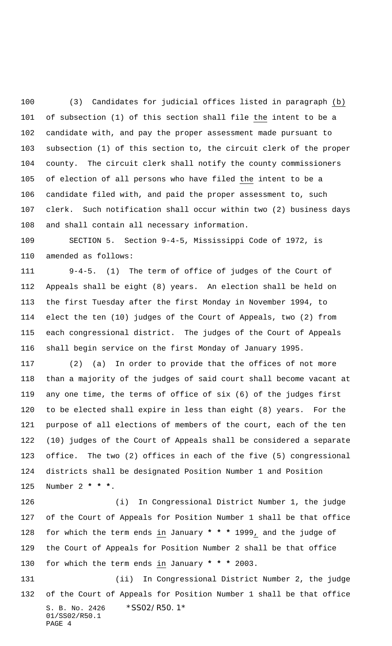(3) Candidates for judicial offices listed in paragraph (b) of subsection (1) of this section shall file the intent to be a candidate with, and pay the proper assessment made pursuant to subsection (1) of this section to, the circuit clerk of the proper county. The circuit clerk shall notify the county commissioners of election of all persons who have filed the intent to be a candidate filed with, and paid the proper assessment to, such clerk. Such notification shall occur within two (2) business days and shall contain all necessary information.

 SECTION 5. Section 9-4-5, Mississippi Code of 1972, is amended as follows:

 9-4-5. (1) The term of office of judges of the Court of Appeals shall be eight (8) years. An election shall be held on the first Tuesday after the first Monday in November 1994, to elect the ten (10) judges of the Court of Appeals, two (2) from each congressional district. The judges of the Court of Appeals shall begin service on the first Monday of January 1995.

 (2) (a) In order to provide that the offices of not more than a majority of the judges of said court shall become vacant at any one time, the terms of office of six (6) of the judges first to be elected shall expire in less than eight (8) years. For the purpose of all elections of members of the court, each of the ten (10) judges of the Court of Appeals shall be considered a separate office. The two (2) offices in each of the five (5) congressional districts shall be designated Position Number 1 and Position Number 2 **\* \* \***.

 (i) In Congressional District Number 1, the judge of the Court of Appeals for Position Number 1 shall be that office for which the term ends in January **\* \* \*** 1999, and the judge of the Court of Appeals for Position Number 2 shall be that office for which the term ends in January **\* \* \*** 2003.

S. B. No. 2426 \*SS02/R50.1\* 01/SS02/R50.1 PAGE 4 (ii) In Congressional District Number 2, the judge of the Court of Appeals for Position Number 1 shall be that office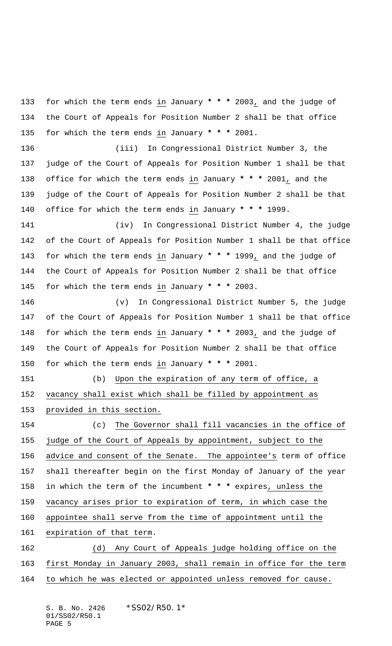for which the term ends in January **\* \* \*** 2003, and the judge of the Court of Appeals for Position Number 2 shall be that office for which the term ends in January **\* \* \*** 2001.

 (iii) In Congressional District Number 3, the judge of the Court of Appeals for Position Number 1 shall be that office for which the term ends in January **\* \* \*** 2001, and the judge of the Court of Appeals for Position Number 2 shall be that office for which the term ends in January **\* \* \*** 1999.

 (iv) In Congressional District Number 4, the judge of the Court of Appeals for Position Number 1 shall be that office for which the term ends in January **\* \* \*** 1999, and the judge of the Court of Appeals for Position Number 2 shall be that office for which the term ends in January **\* \* \*** 2003.

 (v) In Congressional District Number 5, the judge of the Court of Appeals for Position Number 1 shall be that office for which the term ends in January **\* \* \*** 2003, and the judge of the Court of Appeals for Position Number 2 shall be that office for which the term ends in January **\* \* \*** 2001.

 (b) Upon the expiration of any term of office, a vacancy shall exist which shall be filled by appointment as provided in this section.

 (c) The Governor shall fill vacancies in the office of judge of the Court of Appeals by appointment, subject to the advice and consent of the Senate. The appointee's term of office shall thereafter begin on the first Monday of January of the year in which the term of the incumbent **\* \* \*** expires, unless the vacancy arises prior to expiration of term, in which case the appointee shall serve from the time of appointment until the expiration of that term. (d) Any Court of Appeals judge holding office on the

 first Monday in January 2003, shall remain in office for the term 164 to which he was elected or appointed unless removed for cause.

S. B. No. 2426 \*SS02/R50.1\* 01/SS02/R50.1 PAGE 5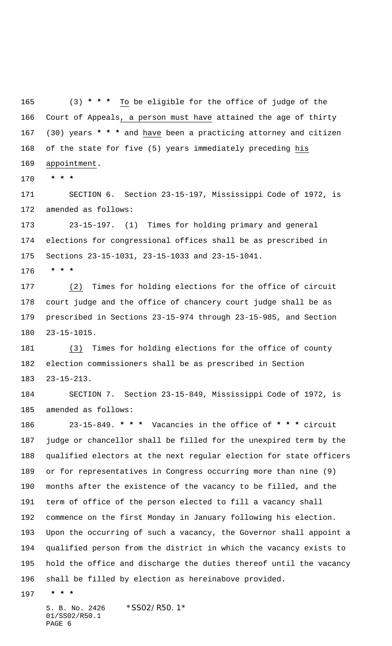(3) **\* \* \*** To be eligible for the office of judge of the Court of Appeals, a person must have attained the age of thirty (30) years **\* \* \*** and have been a practicing attorney and citizen of the state for five (5) years immediately preceding his 169 appointment.

 **\* \* \***

 SECTION 6. Section 23-15-197, Mississippi Code of 1972, is amended as follows:

 23-15-197. (1) Times for holding primary and general elections for congressional offices shall be as prescribed in Sections 23-15-1031, 23-15-1033 and 23-15-1041.

 **\* \* \***

 (2) Times for holding elections for the office of circuit court judge and the office of chancery court judge shall be as prescribed in Sections 23-15-974 through 23-15-985, and Section 23-15-1015.

 (3) Times for holding elections for the office of county election commissioners shall be as prescribed in Section 23-15-213.

 SECTION 7. Section 23-15-849, Mississippi Code of 1972, is amended as follows:

 23-15-849. **\* \* \*** Vacancies in the office of **\* \* \*** circuit judge or chancellor shall be filled for the unexpired term by the qualified electors at the next regular election for state officers or for representatives in Congress occurring more than nine (9) months after the existence of the vacancy to be filled, and the term of office of the person elected to fill a vacancy shall commence on the first Monday in January following his election. Upon the occurring of such a vacancy, the Governor shall appoint a qualified person from the district in which the vacancy exists to hold the office and discharge the duties thereof until the vacancy shall be filled by election as hereinabove provided.

 **\* \* \***

S. B. No. 2426 \*SS02/R50.1\* 01/SS02/R50.1 PAGE 6